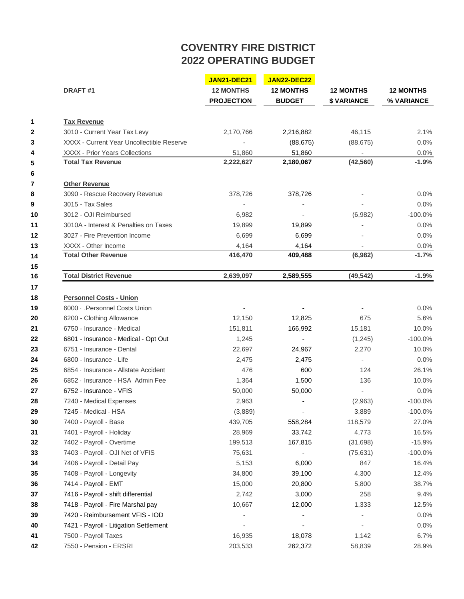## **COVENTRY FIRE DISTRICT 2022 OPERATING BUDGET**

 $\mathbb{R}^2$ 

|                                       |                                                                                  |                                                                                      | <b>12 MONTHS</b><br>% VARIANCE                                          |
|---------------------------------------|----------------------------------------------------------------------------------|--------------------------------------------------------------------------------------|-------------------------------------------------------------------------|
| <b>12 MONTHS</b><br><b>PROJECTION</b> | <b>12 MONTHS</b><br><b>BUDGET</b>                                                | <b>12 MONTHS</b><br>\$ VARIANCE                                                      |                                                                         |
|                                       |                                                                                  |                                                                                      |                                                                         |
|                                       |                                                                                  |                                                                                      | 2.1%                                                                    |
|                                       |                                                                                  |                                                                                      | 0.0%                                                                    |
|                                       |                                                                                  |                                                                                      | 0.0%                                                                    |
| 2,222,627                             | 2,180,067                                                                        | (42, 560)                                                                            | -1.9%                                                                   |
|                                       |                                                                                  |                                                                                      |                                                                         |
|                                       |                                                                                  |                                                                                      | 0.0%                                                                    |
|                                       |                                                                                  |                                                                                      | 0.0%                                                                    |
|                                       |                                                                                  |                                                                                      | $-100.0%$                                                               |
|                                       |                                                                                  |                                                                                      | 0.0%                                                                    |
|                                       |                                                                                  |                                                                                      | 0.0%                                                                    |
|                                       |                                                                                  |                                                                                      | 0.0%                                                                    |
| 416,470                               | 409,488                                                                          | (6,982)                                                                              | $-1.7%$                                                                 |
|                                       |                                                                                  |                                                                                      | $-1.9%$                                                                 |
|                                       |                                                                                  |                                                                                      |                                                                         |
|                                       |                                                                                  |                                                                                      |                                                                         |
|                                       |                                                                                  |                                                                                      | 0.0%                                                                    |
| 12,150                                | 12,825                                                                           | 675                                                                                  | 5.6%                                                                    |
| 151,811                               | 166,992                                                                          | 15,181                                                                               | 10.0%                                                                   |
| 1,245                                 | $\overline{\phantom{a}}$                                                         | (1,245)                                                                              | $-100.0\%$                                                              |
| 22,697                                | 24,967                                                                           | 2,270                                                                                | 10.0%                                                                   |
| 2,475                                 | 2,475                                                                            | $\overline{\phantom{a}}$                                                             | 0.0%                                                                    |
| 476                                   | 600                                                                              | 124                                                                                  | 26.1%                                                                   |
| 1,364                                 | 1,500                                                                            | 136                                                                                  | 10.0%                                                                   |
| 50,000                                | 50,000                                                                           |                                                                                      | 0.0%                                                                    |
| 2,963                                 |                                                                                  | (2,963)                                                                              | $-100.0%$                                                               |
| (3,889)                               |                                                                                  | 3,889                                                                                | $-100.0%$                                                               |
| 439,705                               | 558,284                                                                          | 118,579                                                                              | 27.0%                                                                   |
| 28,969                                | 33,742                                                                           | 4,773                                                                                | 16.5%                                                                   |
| 199,513                               | 167,815                                                                          | (31, 698)                                                                            | $-15.9%$                                                                |
| 75,631                                | $\blacksquare$                                                                   | (75, 631)                                                                            | $-100.0%$                                                               |
| 5,153                                 | 6,000                                                                            | 847                                                                                  | 16.4%                                                                   |
| 34,800                                | 39,100                                                                           | 4,300                                                                                | 12.4%                                                                   |
| 15,000                                | 20,800                                                                           | 5,800                                                                                | 38.7%                                                                   |
| 2,742                                 | 3,000                                                                            | 258                                                                                  | 9.4%                                                                    |
| 10,667                                | 12,000                                                                           | 1,333                                                                                | 12.5%                                                                   |
|                                       |                                                                                  |                                                                                      | 0.0%                                                                    |
|                                       |                                                                                  |                                                                                      | 0.0%                                                                    |
| 16,935                                | 18,078                                                                           | 1,142                                                                                | 6.7%                                                                    |
| 203,533                               | 262,372                                                                          | 58,839                                                                               | 28.9%                                                                   |
|                                       | 2,170,766<br>51,860<br>378,726<br>6,982<br>19,899<br>6,699<br>4,164<br>2,639,097 | 2,216,882<br>(88, 675)<br>51,860<br>378,726<br>19,899<br>6,699<br>4,164<br>2,589,555 | 46,115<br>(88, 675)<br>$\overline{\phantom{a}}$<br>(6,982)<br>(49, 542) |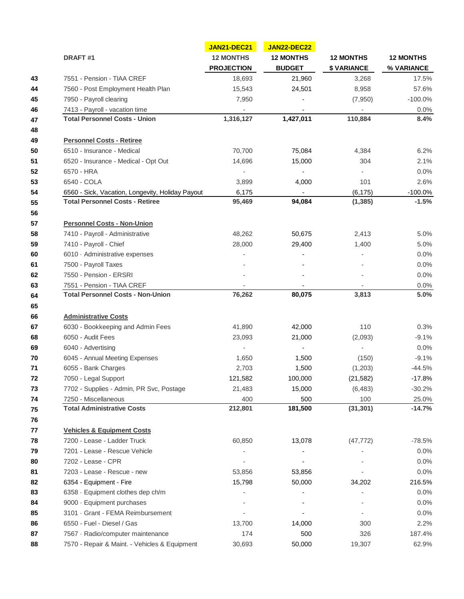| DRAFT#1                                                          | <b>JAN21-DEC21</b>                    | <b>JAN22-DEC22</b><br><b>12 MONTHS</b><br><b>BUDGET</b> | <b>12 MONTHS</b><br><b>\$VARIANCE</b> | <b>12 MONTHS</b><br>% VARIANCE |
|------------------------------------------------------------------|---------------------------------------|---------------------------------------------------------|---------------------------------------|--------------------------------|
|                                                                  | <b>12 MONTHS</b><br><b>PROJECTION</b> |                                                         |                                       |                                |
|                                                                  |                                       |                                                         |                                       |                                |
| 7560 - Post Employment Health Plan                               | 15,543                                | 24,501                                                  | 8,958                                 | 57.6%                          |
| 7950 - Payroll clearing                                          | 7,950                                 |                                                         | (7,950)                               | $-100.0\%$                     |
| 7413 - Payroll - vacation time                                   | $\overline{\phantom{a}}$              |                                                         | $\overline{\phantom{a}}$              | 0.0%                           |
| <b>Total Personnel Costs - Union</b>                             | 1,316,127                             | 1,427,011                                               | 110,884                               | 8.4%                           |
| <b>Personnel Costs - Retiree</b>                                 |                                       |                                                         |                                       |                                |
| 6510 - Insurance - Medical                                       | 70,700                                | 75,084                                                  | 4,384                                 | 6.2%                           |
| 6520 - Insurance - Medical - Opt Out                             | 14,696                                | 15,000                                                  | 304                                   | 2.1%                           |
| 6570 - HRA                                                       | $\overline{\phantom{a}}$              | $\overline{\phantom{a}}$                                |                                       | 0.0%                           |
| 6540 - COLA                                                      | 3,899                                 | 4,000                                                   | 101                                   | 2.6%                           |
| 6560 - Sick, Vacation, Longevity, Holiday Payout                 | 6,175                                 | $\overline{\phantom{a}}$                                | (6, 175)                              | $-100.0%$                      |
| <b>Total Personnel Costs - Retiree</b>                           | 95,469                                | 94,084                                                  | (1, 385)                              | $-1.5%$                        |
| <b>Personnel Costs - Non-Union</b>                               |                                       |                                                         |                                       |                                |
| 7410 - Payroll - Administrative                                  | 48,262                                | 50,675                                                  | 2,413                                 | 5.0%                           |
| 7410 - Payroll - Chief                                           | 28,000                                | 29,400                                                  | 1,400                                 | 5.0%                           |
| 6010 · Administrative expenses                                   |                                       |                                                         |                                       | 0.0%                           |
| 7500 - Payroll Taxes                                             |                                       |                                                         |                                       | 0.0%                           |
| 7550 - Pension - ERSRI                                           |                                       |                                                         |                                       | 0.0%                           |
| 7551 - Pension - TIAA CREF                                       |                                       |                                                         |                                       | 0.0%                           |
| <b>Administrative Costs</b>                                      |                                       |                                                         |                                       |                                |
| 6030 - Bookkeeping and Admin Fees                                | 41,890                                | 42,000                                                  | 110                                   | 0.3%                           |
| 6050 - Audit Fees                                                | 23,093                                | 21,000                                                  | (2,093)                               | $-9.1%$                        |
| 6040 - Advertising                                               |                                       |                                                         | $\overline{\phantom{a}}$              | 0.0%                           |
| 6045 - Annual Meeting Expenses                                   | 1,650                                 | 1,500                                                   | (150)                                 | $-9.1%$                        |
| 6055 - Bank Charges                                              | 2,703                                 | 1,500                                                   | (1,203)                               | $-44.5%$                       |
| 7050 - Legal Support                                             | 121,582                               | 100,000                                                 | (21, 582)                             | $-17.8%$                       |
| 7702 - Supplies - Admin, PR Svc, Postage<br>7250 - Miscellaneous | 21,483<br>400                         | 15,000<br>500                                           | (6, 483)<br>100                       | $-30.2%$                       |
| <b>Total Administrative Costs</b>                                | 212,801                               | 181,500                                                 | (31, 301)                             | 25.0%<br>$-14.7%$              |
|                                                                  |                                       |                                                         |                                       |                                |
| <b>Vehicles &amp; Equipment Costs</b>                            |                                       |                                                         |                                       |                                |
| 7200 - Lease - Ladder Truck                                      | 60,850                                | 13,078                                                  | (47, 772)                             | $-78.5%$                       |
| 7201 - Lease - Rescue Vehicle                                    |                                       |                                                         |                                       | 0.0%                           |
| 7202 - Lease - CPR                                               |                                       |                                                         |                                       | 0.0%                           |
| 7203 - Lease - Rescue - new                                      | 53,856                                | 53,856                                                  |                                       | $0.0\%$                        |
| 6354 - Equipment - Fire                                          | 15,798                                | 50,000                                                  | 34,202                                | 216.5%                         |
| 6358 · Equipment clothes dep ch/m                                |                                       |                                                         |                                       | 0.0%                           |
| 9000 · Equipment purchases                                       |                                       |                                                         |                                       | 0.0%                           |
| 3101 · Grant - FEMA Reimbursement                                |                                       |                                                         |                                       | 0.0%                           |
| 6550 - Fuel - Diesel / Gas                                       | 13,700                                | 14,000                                                  | 300                                   | 2.2%                           |
| 7567 · Radio/computer maintenance                                | 174                                   | 500                                                     | 326                                   | 187.4%                         |
| 7570 - Repair & Maint. - Vehicles & Equipment                    | 30,693                                | 50,000                                                  | 19,307                                | 62.9%                          |